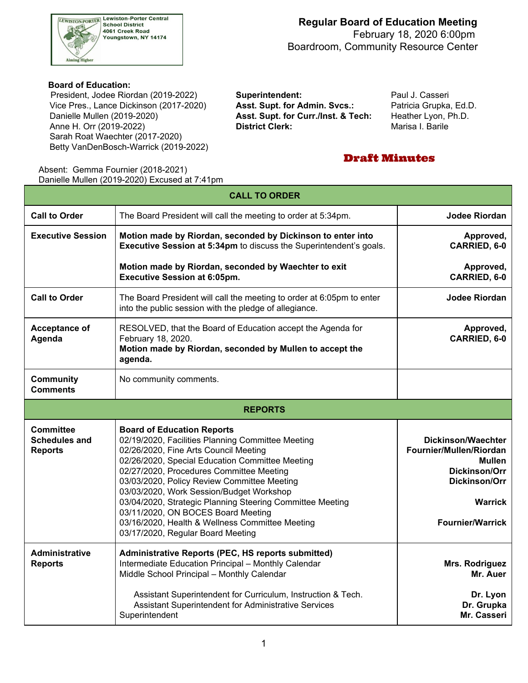

## **Regular Board of Education Meeting** February 18, 2020 6:00pm

Boardroom, Community Resource Center

#### **Board of Education:**

 Vice Pres., Lance Dickinson (2017-2020) **Asst. Supt. for Admin. Svcs.:** Patricia Grupka, Ed.D. Danielle Mullen (2019-2020) Anne H. Orr (2019-2022) **District Clerk:** Marisa I. Barile Sarah Roat Waechter (2017-2020) President, Jodee Riordan (2019-2022) **Superintendent:** Paul J. Casseri Betty VanDenBosch-Warrick (2019-2022)

Asst. Supt. for Curr./Inst. & Tech: Heather Lyon, Ph.D.

## Draft Minutes

 Absent: Gemma Fournier (2018-2021) Danielle Mullen (2019-2020) Excused at 7:41pm

| <b>CALL TO ORDER</b>                                       |                                                                                                                                                                                                                                                                                                                                                                                                                                                                                                                      |                                                                                                                                                                    |  |  |  |  |
|------------------------------------------------------------|----------------------------------------------------------------------------------------------------------------------------------------------------------------------------------------------------------------------------------------------------------------------------------------------------------------------------------------------------------------------------------------------------------------------------------------------------------------------------------------------------------------------|--------------------------------------------------------------------------------------------------------------------------------------------------------------------|--|--|--|--|
| <b>Call to Order</b>                                       | The Board President will call the meeting to order at 5:34pm.                                                                                                                                                                                                                                                                                                                                                                                                                                                        | <b>Jodee Riordan</b>                                                                                                                                               |  |  |  |  |
| <b>Executive Session</b>                                   | Motion made by Riordan, seconded by Dickinson to enter into<br>Executive Session at 5:34pm to discuss the Superintendent's goals.                                                                                                                                                                                                                                                                                                                                                                                    | Approved,<br>CARRIED, 6-0                                                                                                                                          |  |  |  |  |
|                                                            | Motion made by Riordan, seconded by Waechter to exit<br><b>Executive Session at 6:05pm.</b>                                                                                                                                                                                                                                                                                                                                                                                                                          | Approved,<br>CARRIED, 6-0                                                                                                                                          |  |  |  |  |
| <b>Call to Order</b>                                       | The Board President will call the meeting to order at 6:05pm to enter<br>into the public session with the pledge of allegiance.                                                                                                                                                                                                                                                                                                                                                                                      | Jodee Riordan                                                                                                                                                      |  |  |  |  |
| Acceptance of<br>Agenda                                    | RESOLVED, that the Board of Education accept the Agenda for<br>February 18, 2020.<br>Motion made by Riordan, seconded by Mullen to accept the<br>agenda.                                                                                                                                                                                                                                                                                                                                                             | Approved,<br>CARRIED, 6-0                                                                                                                                          |  |  |  |  |
| <b>Community</b><br><b>Comments</b>                        | No community comments.                                                                                                                                                                                                                                                                                                                                                                                                                                                                                               |                                                                                                                                                                    |  |  |  |  |
|                                                            | <b>REPORTS</b>                                                                                                                                                                                                                                                                                                                                                                                                                                                                                                       |                                                                                                                                                                    |  |  |  |  |
| <b>Committee</b><br><b>Schedules and</b><br><b>Reports</b> | <b>Board of Education Reports</b><br>02/19/2020, Facilities Planning Committee Meeting<br>02/26/2020, Fine Arts Council Meeting<br>02/26/2020, Special Education Committee Meeting<br>02/27/2020, Procedures Committee Meeting<br>03/03/2020, Policy Review Committee Meeting<br>03/03/2020, Work Session/Budget Workshop<br>03/04/2020, Strategic Planning Steering Committee Meeting<br>03/11/2020, ON BOCES Board Meeting<br>03/16/2020, Health & Wellness Committee Meeting<br>03/17/2020, Regular Board Meeting | <b>Dickinson/Waechter</b><br>Fournier/Mullen/Riordan<br><b>Mullen</b><br><b>Dickinson/Orr</b><br><b>Dickinson/Orr</b><br><b>Warrick</b><br><b>Fournier/Warrick</b> |  |  |  |  |
| <b>Administrative</b><br><b>Reports</b>                    | Administrative Reports (PEC, HS reports submitted)<br>Intermediate Education Principal - Monthly Calendar<br>Middle School Principal - Monthly Calendar<br>Assistant Superintendent for Curriculum, Instruction & Tech.<br>Assistant Superintendent for Administrative Services                                                                                                                                                                                                                                      | Mrs. Rodriguez<br>Mr. Auer<br>Dr. Lyon<br>Dr. Grupka                                                                                                               |  |  |  |  |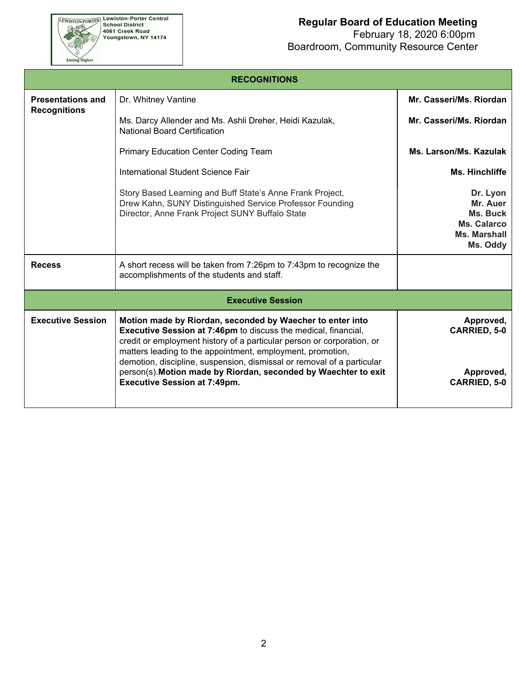# **EEWISTON-PORTER Lewiston-Porter Central**<br>School District<br>4061 Creek Road<br>Youngstown, NY 14174 Aiming Higher

## **Regular Board of Education Meeting**

| <b>RECOGNITIONS</b>                             |                                                                                                                                                                                                                                                                                                                                                      |                                                                             |  |  |  |  |  |
|-------------------------------------------------|------------------------------------------------------------------------------------------------------------------------------------------------------------------------------------------------------------------------------------------------------------------------------------------------------------------------------------------------------|-----------------------------------------------------------------------------|--|--|--|--|--|
| <b>Presentations and</b><br><b>Recognitions</b> | Dr. Whitney Vantine                                                                                                                                                                                                                                                                                                                                  | Mr. Casseri/Ms. Riordan                                                     |  |  |  |  |  |
|                                                 | Ms. Darcy Allender and Ms. Ashli Dreher, Heidi Kazulak,<br><b>National Board Certification</b>                                                                                                                                                                                                                                                       | Mr. Casseri/Ms. Riordan                                                     |  |  |  |  |  |
|                                                 | <b>Primary Education Center Coding Team</b>                                                                                                                                                                                                                                                                                                          | Ms. Larson/Ms. Kazulak                                                      |  |  |  |  |  |
|                                                 | International Student Science Fair                                                                                                                                                                                                                                                                                                                   | Ms. Hinchliffe                                                              |  |  |  |  |  |
|                                                 | Story Based Learning and Buff State's Anne Frank Project,<br>Drew Kahn, SUNY Distinguished Service Professor Founding<br>Director, Anne Frank Project SUNY Buffalo State                                                                                                                                                                             | Dr. Lyon<br>Mr. Auer<br>Ms. Buck<br>Ms. Calarco<br>Ms. Marshall<br>Ms. Oddy |  |  |  |  |  |
| <b>Recess</b>                                   | A short recess will be taken from 7:26pm to 7:43pm to recognize the<br>accomplishments of the students and staff.                                                                                                                                                                                                                                    |                                                                             |  |  |  |  |  |
|                                                 | <b>Executive Session</b>                                                                                                                                                                                                                                                                                                                             |                                                                             |  |  |  |  |  |
| <b>Executive Session</b>                        | Motion made by Riordan, seconded by Waecher to enter into<br><b>Executive Session at 7:46pm to discuss the medical, financial,</b><br>credit or employment history of a particular person or corporation, or<br>matters leading to the appointment, employment, promotion,<br>demotion, discipline, suspension, dismissal or removal of a particular | Approved,<br><b>CARRIED, 5-0</b>                                            |  |  |  |  |  |
|                                                 | person(s). Motion made by Riordan, seconded by Waechter to exit<br><b>Executive Session at 7:49pm.</b>                                                                                                                                                                                                                                               | Approved,<br><b>CARRIED, 5-0</b>                                            |  |  |  |  |  |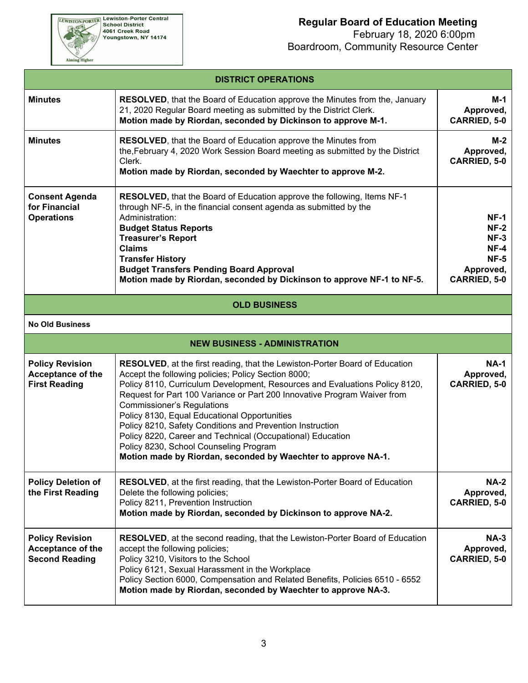**EEWISTON-PORTER Lewiston-Porter Central**<br>School District<br>4061 Creek Road<br>Youngstown, NY 14174

Aiming Higher

## **Regular Board of Education Meeting**

|                                                                             | <b>DISTRICT OPERATIONS</b>                                                                                                                                                                                                                                                                                                                                                                                                                                                                                                                                                                                               |                                                                                         |
|-----------------------------------------------------------------------------|--------------------------------------------------------------------------------------------------------------------------------------------------------------------------------------------------------------------------------------------------------------------------------------------------------------------------------------------------------------------------------------------------------------------------------------------------------------------------------------------------------------------------------------------------------------------------------------------------------------------------|-----------------------------------------------------------------------------------------|
| <b>Minutes</b>                                                              | <b>RESOLVED</b> , that the Board of Education approve the Minutes from the, January<br>21, 2020 Regular Board meeting as submitted by the District Clerk.<br>Motion made by Riordan, seconded by Dickinson to approve M-1.                                                                                                                                                                                                                                                                                                                                                                                               | M-1<br>Approved,<br><b>CARRIED, 5-0</b>                                                 |
| <b>Minutes</b>                                                              | RESOLVED, that the Board of Education approve the Minutes from<br>the, February 4, 2020 Work Session Board meeting as submitted by the District<br>Clerk.<br>Motion made by Riordan, seconded by Waechter to approve M-2.                                                                                                                                                                                                                                                                                                                                                                                                | $M-2$<br>Approved,<br><b>CARRIED, 5-0</b>                                               |
| <b>Consent Agenda</b><br>for Financial<br><b>Operations</b>                 | <b>RESOLVED, that the Board of Education approve the following, Items NF-1</b><br>through NF-5, in the financial consent agenda as submitted by the<br>Administration:<br><b>Budget Status Reports</b><br><b>Treasurer's Report</b><br><b>Claims</b><br><b>Transfer History</b><br><b>Budget Transfers Pending Board Approval</b><br>Motion made by Riordan, seconded by Dickinson to approve NF-1 to NF-5.                                                                                                                                                                                                              | $NF-1$<br>$NF-2$<br>$NF-3$<br>$NF-4$<br><b>NF-5</b><br>Approved,<br><b>CARRIED, 5-0</b> |
|                                                                             | <b>OLD BUSINESS</b>                                                                                                                                                                                                                                                                                                                                                                                                                                                                                                                                                                                                      |                                                                                         |
| <b>No Old Business</b>                                                      |                                                                                                                                                                                                                                                                                                                                                                                                                                                                                                                                                                                                                          |                                                                                         |
|                                                                             | <b>NEW BUSINESS - ADMINISTRATION</b>                                                                                                                                                                                                                                                                                                                                                                                                                                                                                                                                                                                     |                                                                                         |
| <b>Policy Revision</b><br>Acceptance of the<br><b>First Reading</b>         | RESOLVED, at the first reading, that the Lewiston-Porter Board of Education<br>Accept the following policies; Policy Section 8000;<br>Policy 8110, Curriculum Development, Resources and Evaluations Policy 8120,<br>Request for Part 100 Variance or Part 200 Innovative Program Waiver from<br><b>Commissioner's Regulations</b><br>Policy 8130, Equal Educational Opportunities<br>Policy 8210, Safety Conditions and Prevention Instruction<br>Policy 8220, Career and Technical (Occupational) Education<br>Policy 8230, School Counseling Program<br>Motion made by Riordan, seconded by Waechter to approve NA-1. | <b>NA-1</b><br>Approved,<br><b>CARRIED, 5-0</b>                                         |
| <b>Policy Deletion of</b><br>the First Reading                              | <b>RESOLVED</b> , at the first reading, that the Lewiston-Porter Board of Education<br>Delete the following policies;<br>Policy 8211, Prevention Instruction<br>Motion made by Riordan, seconded by Dickinson to approve NA-2.                                                                                                                                                                                                                                                                                                                                                                                           | <b>NA-2</b><br>Approved,<br><b>CARRIED, 5-0</b>                                         |
| <b>Policy Revision</b><br><b>Acceptance of the</b><br><b>Second Reading</b> | <b>RESOLVED</b> , at the second reading, that the Lewiston-Porter Board of Education<br>accept the following policies;<br>Policy 3210, Visitors to the School<br>Policy 6121, Sexual Harassment in the Workplace<br>Policy Section 6000, Compensation and Related Benefits, Policies 6510 - 6552<br>Motion made by Riordan, seconded by Waechter to approve NA-3.                                                                                                                                                                                                                                                        | <b>NA-3</b><br>Approved,<br><b>CARRIED, 5-0</b>                                         |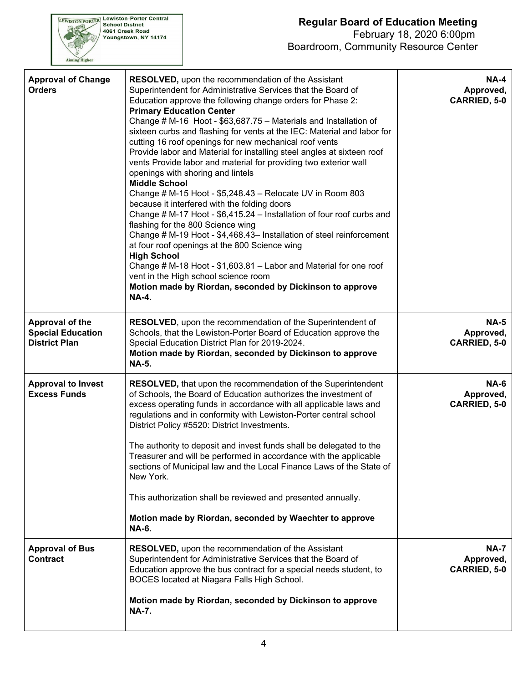

| <b>Approval of Change</b><br><b>Orders</b>                          | RESOLVED, upon the recommendation of the Assistant<br>Superintendent for Administrative Services that the Board of<br>Education approve the following change orders for Phase 2:<br><b>Primary Education Center</b><br>Change # M-16 Hoot - \$63,687.75 - Materials and Installation of<br>sixteen curbs and flashing for vents at the IEC: Material and labor for<br>cutting 16 roof openings for new mechanical roof vents<br>Provide labor and Material for installing steel angles at sixteen roof<br>vents Provide labor and material for providing two exterior wall<br>openings with shoring and lintels<br><b>Middle School</b><br>Change # M-15 Hoot - \$5,248.43 - Relocate UV in Room 803<br>because it interfered with the folding doors<br>Change # M-17 Hoot - \$6,415.24 - Installation of four roof curbs and<br>flashing for the 800 Science wing<br>Change # M-19 Hoot - \$4,468.43- Installation of steel reinforcement<br>at four roof openings at the 800 Science wing<br><b>High School</b><br>Change # M-18 Hoot - \$1,603.81 - Labor and Material for one roof<br>vent in the High school science room<br>Motion made by Riordan, seconded by Dickinson to approve<br><b>NA-4.</b> | <b>NA-4</b><br>Approved,<br><b>CARRIED, 5-0</b> |
|---------------------------------------------------------------------|------------------------------------------------------------------------------------------------------------------------------------------------------------------------------------------------------------------------------------------------------------------------------------------------------------------------------------------------------------------------------------------------------------------------------------------------------------------------------------------------------------------------------------------------------------------------------------------------------------------------------------------------------------------------------------------------------------------------------------------------------------------------------------------------------------------------------------------------------------------------------------------------------------------------------------------------------------------------------------------------------------------------------------------------------------------------------------------------------------------------------------------------------------------------------------------------------------|-------------------------------------------------|
| Approval of the<br><b>Special Education</b><br><b>District Plan</b> | RESOLVED, upon the recommendation of the Superintendent of<br>Schools, that the Lewiston-Porter Board of Education approve the<br>Special Education District Plan for 2019-2024.<br>Motion made by Riordan, seconded by Dickinson to approve<br><b>NA-5.</b>                                                                                                                                                                                                                                                                                                                                                                                                                                                                                                                                                                                                                                                                                                                                                                                                                                                                                                                                               | <b>NA-5</b><br>Approved,<br><b>CARRIED, 5-0</b> |
| <b>Approval to Invest</b><br><b>Excess Funds</b>                    | <b>RESOLVED, that upon the recommendation of the Superintendent</b><br>of Schools, the Board of Education authorizes the investment of<br>excess operating funds in accordance with all applicable laws and<br>regulations and in conformity with Lewiston-Porter central school<br>District Policy #5520: District Investments.<br>The authority to deposit and invest funds shall be delegated to the<br>Treasurer and will be performed in accordance with the applicable<br>sections of Municipal law and the Local Finance Laws of the State of<br>New York.<br>This authorization shall be reviewed and presented annually.<br>Motion made by Riordan, seconded by Waechter to approve<br><b>NA-6.</b>                                                                                                                                                                                                                                                                                                                                                                                                                                                                                               | <b>NA-6</b><br>Approved,<br><b>CARRIED, 5-0</b> |
| <b>Approval of Bus</b><br><b>Contract</b>                           | <b>RESOLVED, upon the recommendation of the Assistant</b><br>Superintendent for Administrative Services that the Board of<br>Education approve the bus contract for a special needs student, to<br>BOCES located at Niagara Falls High School.<br>Motion made by Riordan, seconded by Dickinson to approve<br><b>NA-7.</b>                                                                                                                                                                                                                                                                                                                                                                                                                                                                                                                                                                                                                                                                                                                                                                                                                                                                                 | <b>NA-7</b><br>Approved,<br><b>CARRIED, 5-0</b> |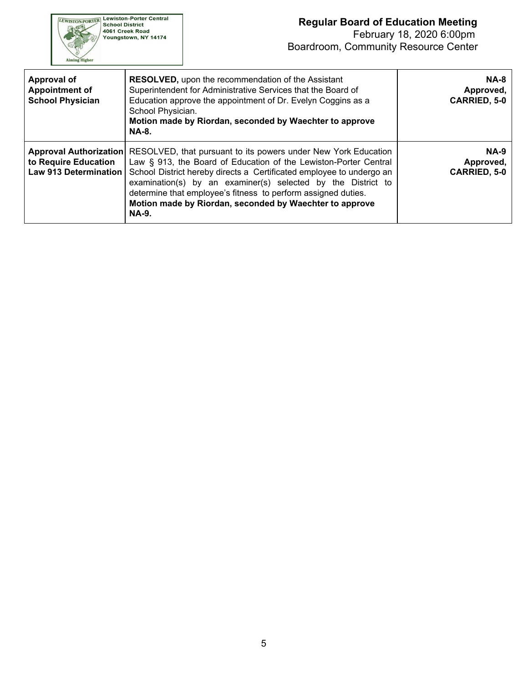

| <b>Approval of</b><br><b>Appointment of</b><br><b>School Physician</b>         | <b>RESOLVED, upon the recommendation of the Assistant</b><br>Superintendent for Administrative Services that the Board of<br>Education approve the appointment of Dr. Evelyn Coggins as a<br>School Physician.<br>Motion made by Riordan, seconded by Waechter to approve<br><b>NA-8.</b>                                                                                                                              | <b>NA-8</b><br>Approved,<br><b>CARRIED, 5-0</b> |
|--------------------------------------------------------------------------------|------------------------------------------------------------------------------------------------------------------------------------------------------------------------------------------------------------------------------------------------------------------------------------------------------------------------------------------------------------------------------------------------------------------------|-------------------------------------------------|
| <b>Approval Authorization</b><br>to Require Education<br>Law 913 Determination | RESOLVED, that pursuant to its powers under New York Education<br>Law § 913, the Board of Education of the Lewiston-Porter Central<br>School District hereby directs a Certificated employee to undergo an<br>examination(s) by an examiner(s) selected by the District to<br>determine that employee's fitness to perform assigned duties.<br>Motion made by Riordan, seconded by Waechter to approve<br><b>NA-9.</b> | $NA-9$<br>Approved,<br><b>CARRIED, 5-0</b>      |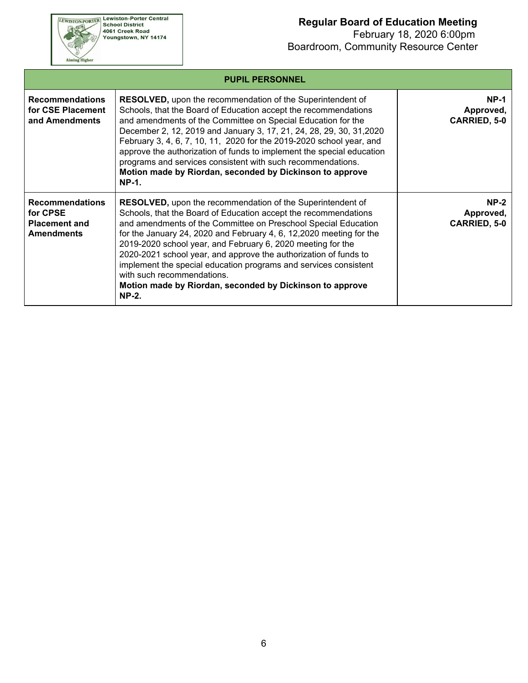**EEWISTON-PORTER Lewiston-Porter Central**<br>School District<br>4061 Creek Road<br>Youngstown, NY 14174 Aiming Higher

|                                                                                 | <b>PUPIL PERSONNEL</b>                                                                                                                                                                                                                                                                                                                                                                                                                                                                                                                                                                          |                                                 |
|---------------------------------------------------------------------------------|-------------------------------------------------------------------------------------------------------------------------------------------------------------------------------------------------------------------------------------------------------------------------------------------------------------------------------------------------------------------------------------------------------------------------------------------------------------------------------------------------------------------------------------------------------------------------------------------------|-------------------------------------------------|
| <b>Recommendations</b><br>for CSE Placement<br>and Amendments                   | <b>RESOLVED, upon the recommendation of the Superintendent of</b><br>Schools, that the Board of Education accept the recommendations<br>and amendments of the Committee on Special Education for the<br>December 2, 12, 2019 and January 3, 17, 21, 24, 28, 29, 30, 31, 2020<br>February 3, 4, 6, 7, 10, 11, 2020 for the 2019-2020 school year, and<br>approve the authorization of funds to implement the special education<br>programs and services consistent with such recommendations.<br>Motion made by Riordan, seconded by Dickinson to approve<br><b>NP-1.</b>                        | <b>NP-1</b><br>Approved,<br><b>CARRIED, 5-0</b> |
| <b>Recommendations</b><br>for CPSE<br><b>Placement and</b><br><b>Amendments</b> | <b>RESOLVED, upon the recommendation of the Superintendent of</b><br>Schools, that the Board of Education accept the recommendations<br>and amendments of the Committee on Preschool Special Education<br>for the January 24, 2020 and February 4, 6, 12, 2020 meeting for the<br>2019-2020 school year, and February 6, 2020 meeting for the<br>2020-2021 school year, and approve the authorization of funds to<br>implement the special education programs and services consistent<br>with such recommendations.<br>Motion made by Riordan, seconded by Dickinson to approve<br><b>NP-2.</b> | $NP-2$<br>Approved,<br><b>CARRIED, 5-0</b>      |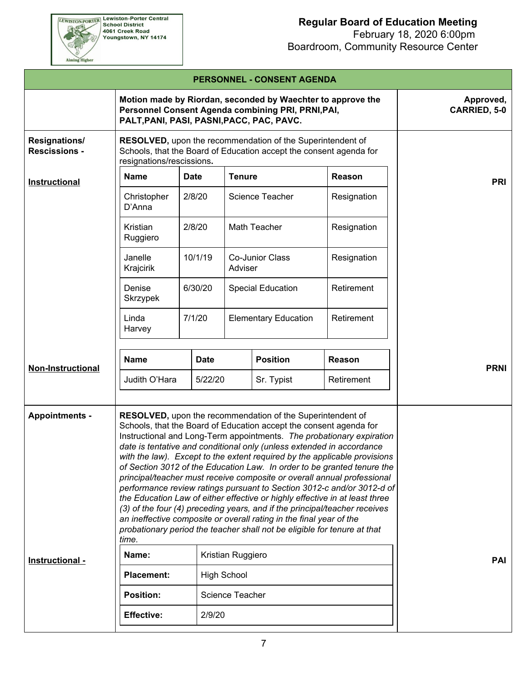|                                              |                                                                                                                                                                                                                                                                                                                                                                                                                                                                                                                                                                                                                                                                                                                                                                                                                                                                                                                          |             |                        | PERSONNEL - CONSENT AGENDA  |             |             |  |
|----------------------------------------------|--------------------------------------------------------------------------------------------------------------------------------------------------------------------------------------------------------------------------------------------------------------------------------------------------------------------------------------------------------------------------------------------------------------------------------------------------------------------------------------------------------------------------------------------------------------------------------------------------------------------------------------------------------------------------------------------------------------------------------------------------------------------------------------------------------------------------------------------------------------------------------------------------------------------------|-------------|------------------------|-----------------------------|-------------|-------------|--|
|                                              | Approved,<br><b>CARRIED, 5-0</b>                                                                                                                                                                                                                                                                                                                                                                                                                                                                                                                                                                                                                                                                                                                                                                                                                                                                                         |             |                        |                             |             |             |  |
| <b>Resignations/</b><br><b>Rescissions -</b> | RESOLVED, upon the recommendation of the Superintendent of<br>Schools, that the Board of Education accept the consent agenda for<br>resignations/rescissions.                                                                                                                                                                                                                                                                                                                                                                                                                                                                                                                                                                                                                                                                                                                                                            |             |                        |                             |             |             |  |
| Instructional                                | <b>Name</b>                                                                                                                                                                                                                                                                                                                                                                                                                                                                                                                                                                                                                                                                                                                                                                                                                                                                                                              | <b>Date</b> | <b>Tenure</b>          |                             | Reason      | <b>PRI</b>  |  |
|                                              | Christopher<br>D'Anna                                                                                                                                                                                                                                                                                                                                                                                                                                                                                                                                                                                                                                                                                                                                                                                                                                                                                                    | 2/8/20      |                        | <b>Science Teacher</b>      | Resignation |             |  |
|                                              | Kristian<br>Ruggiero                                                                                                                                                                                                                                                                                                                                                                                                                                                                                                                                                                                                                                                                                                                                                                                                                                                                                                     | 2/8/20      |                        | Math Teacher                | Resignation |             |  |
|                                              | Janelle<br>Krajcirik                                                                                                                                                                                                                                                                                                                                                                                                                                                                                                                                                                                                                                                                                                                                                                                                                                                                                                     | 10/1/19     | Adviser                | Co-Junior Class             | Resignation |             |  |
|                                              | Denise<br>Skrzypek                                                                                                                                                                                                                                                                                                                                                                                                                                                                                                                                                                                                                                                                                                                                                                                                                                                                                                       | 6/30/20     |                        | <b>Special Education</b>    | Retirement  |             |  |
|                                              | Linda<br>Harvey                                                                                                                                                                                                                                                                                                                                                                                                                                                                                                                                                                                                                                                                                                                                                                                                                                                                                                          | 7/1/20      |                        | <b>Elementary Education</b> | Retirement  |             |  |
| <b>Non-Instructional</b>                     | <b>Name</b>                                                                                                                                                                                                                                                                                                                                                                                                                                                                                                                                                                                                                                                                                                                                                                                                                                                                                                              | <b>Date</b> | <b>Position</b>        |                             | Reason      | <b>PRNI</b> |  |
|                                              | Judith O'Hara                                                                                                                                                                                                                                                                                                                                                                                                                                                                                                                                                                                                                                                                                                                                                                                                                                                                                                            | 5/22/20     |                        | Sr. Typist                  | Retirement  |             |  |
| <b>Appointments -</b>                        | RESOLVED, upon the recommendation of the Superintendent of<br>Schools, that the Board of Education accept the consent agenda for<br>Instructional and Long-Term appointments. The probationary expiration<br>date is tentative and conditional only (unless extended in accordance<br>with the law). Except to the extent required by the applicable provisions<br>of Section 3012 of the Education Law. In order to be granted tenure the<br>principal/teacher must receive composite or overall annual professional<br>performance review ratings pursuant to Section 3012-c and/or 3012-d of<br>the Education Law of either effective or highly effective in at least three<br>(3) of the four (4) preceding years, and if the principal/teacher receives<br>an ineffective composite or overall rating in the final year of the<br>probationary period the teacher shall not be eligible for tenure at that<br>time. |             |                        |                             |             |             |  |
| Instructional -                              | Name:                                                                                                                                                                                                                                                                                                                                                                                                                                                                                                                                                                                                                                                                                                                                                                                                                                                                                                                    |             | Kristian Ruggiero      |                             |             | <b>PAI</b>  |  |
|                                              | <b>Placement:</b>                                                                                                                                                                                                                                                                                                                                                                                                                                                                                                                                                                                                                                                                                                                                                                                                                                                                                                        |             | <b>High School</b>     |                             |             |             |  |
|                                              | <b>Position:</b>                                                                                                                                                                                                                                                                                                                                                                                                                                                                                                                                                                                                                                                                                                                                                                                                                                                                                                         |             | <b>Science Teacher</b> |                             |             |             |  |
|                                              | <b>Effective:</b>                                                                                                                                                                                                                                                                                                                                                                                                                                                                                                                                                                                                                                                                                                                                                                                                                                                                                                        | 2/9/20      |                        |                             |             |             |  |
|                                              |                                                                                                                                                                                                                                                                                                                                                                                                                                                                                                                                                                                                                                                                                                                                                                                                                                                                                                                          |             |                        |                             |             |             |  |

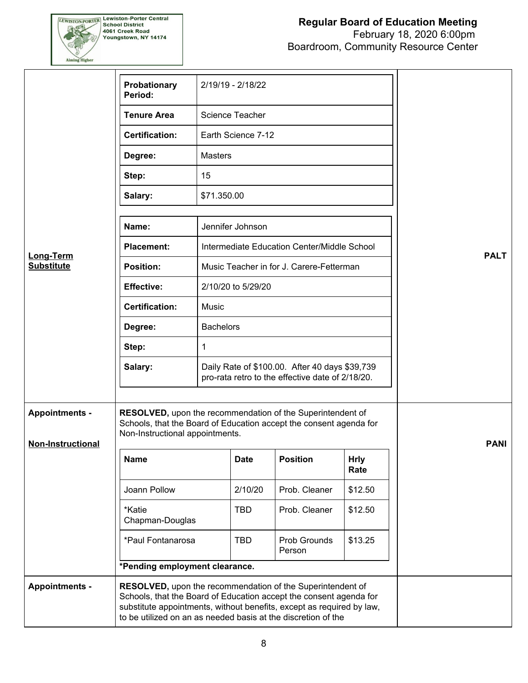

|                                                   | Probationary<br>Period:                                                                                                                                                                                                                                                    |                  | 2/19/19 - 2/18/22  |                                                                                                    |                     |             |
|---------------------------------------------------|----------------------------------------------------------------------------------------------------------------------------------------------------------------------------------------------------------------------------------------------------------------------------|------------------|--------------------|----------------------------------------------------------------------------------------------------|---------------------|-------------|
|                                                   | <b>Tenure Area</b>                                                                                                                                                                                                                                                         |                  | Science Teacher    |                                                                                                    |                     |             |
|                                                   | <b>Certification:</b>                                                                                                                                                                                                                                                      |                  | Earth Science 7-12 |                                                                                                    |                     |             |
|                                                   | Degree:                                                                                                                                                                                                                                                                    | <b>Masters</b>   |                    |                                                                                                    |                     |             |
|                                                   | Step:                                                                                                                                                                                                                                                                      | 15               |                    |                                                                                                    |                     |             |
|                                                   | Salary:                                                                                                                                                                                                                                                                    | \$71.350.00      |                    |                                                                                                    |                     |             |
|                                                   | Name:                                                                                                                                                                                                                                                                      |                  | Jennifer Johnson   |                                                                                                    |                     |             |
|                                                   |                                                                                                                                                                                                                                                                            |                  |                    |                                                                                                    |                     |             |
| <b>Long-Term</b>                                  | <b>Placement:</b>                                                                                                                                                                                                                                                          |                  |                    | Intermediate Education Center/Middle School                                                        |                     | <b>PALT</b> |
| <b>Substitute</b>                                 | <b>Position:</b>                                                                                                                                                                                                                                                           |                  |                    | Music Teacher in for J. Carere-Fetterman                                                           |                     |             |
|                                                   | <b>Effective:</b>                                                                                                                                                                                                                                                          |                  | 2/10/20 to 5/29/20 |                                                                                                    |                     |             |
|                                                   | <b>Certification:</b>                                                                                                                                                                                                                                                      | Music            |                    |                                                                                                    |                     |             |
|                                                   | Degree:                                                                                                                                                                                                                                                                    | <b>Bachelors</b> |                    |                                                                                                    |                     |             |
|                                                   | Step:                                                                                                                                                                                                                                                                      | 1                |                    |                                                                                                    |                     |             |
|                                                   | Salary:                                                                                                                                                                                                                                                                    |                  |                    | Daily Rate of \$100.00. After 40 days \$39,739<br>pro-rata retro to the effective date of 2/18/20. |                     |             |
| <b>Appointments -</b><br><b>Non-Instructional</b> | RESOLVED, upon the recommendation of the Superintendent of<br>Schools, that the Board of Education accept the consent agenda for<br>Non-Instructional appointments.                                                                                                        |                  |                    |                                                                                                    |                     | <b>PANI</b> |
|                                                   | <b>Name</b>                                                                                                                                                                                                                                                                |                  | <b>Date</b>        | <b>Position</b>                                                                                    | <b>Hrly</b><br>Rate |             |
|                                                   | Joann Pollow                                                                                                                                                                                                                                                               |                  | 2/10/20            | Prob. Cleaner                                                                                      | \$12.50             |             |
|                                                   | *Katie<br>Chapman-Douglas                                                                                                                                                                                                                                                  |                  | <b>TBD</b>         | Prob. Cleaner                                                                                      | \$12.50             |             |
|                                                   | *Paul Fontanarosa                                                                                                                                                                                                                                                          |                  | <b>TBD</b>         | Prob Grounds<br>Person                                                                             | \$13.25             |             |
|                                                   | *Pending employment clearance.                                                                                                                                                                                                                                             |                  |                    |                                                                                                    |                     |             |
| <b>Appointments -</b>                             | RESOLVED, upon the recommendation of the Superintendent of<br>Schools, that the Board of Education accept the consent agenda for<br>substitute appointments, without benefits, except as required by law,<br>to be utilized on an as needed basis at the discretion of the |                  |                    |                                                                                                    |                     |             |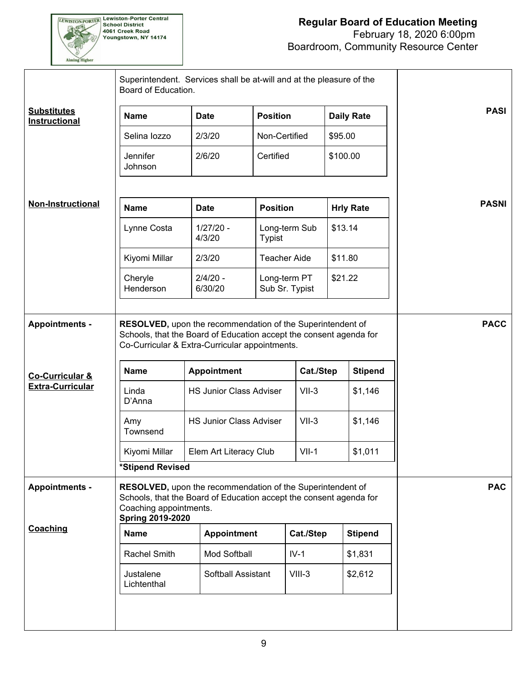

|                                                                     | Superintendent. Services shall be at-will and at the pleasure of the<br>Board of Education.                                                                                           |                                                                                                                                                                                                      |                                |               |                           |                |              |
|---------------------------------------------------------------------|---------------------------------------------------------------------------------------------------------------------------------------------------------------------------------------|------------------------------------------------------------------------------------------------------------------------------------------------------------------------------------------------------|--------------------------------|---------------|---------------------------|----------------|--------------|
| <b>Substitutes</b><br>Instructional                                 | <b>Name</b>                                                                                                                                                                           | <b>Date</b>                                                                                                                                                                                          | <b>Position</b>                |               | <b>Daily Rate</b>         |                | <b>PASI</b>  |
|                                                                     | Selina lozzo                                                                                                                                                                          | 2/3/20                                                                                                                                                                                               | Non-Certified                  |               | \$95.00                   |                |              |
|                                                                     | Jennifer<br>Johnson                                                                                                                                                                   | 2/6/20                                                                                                                                                                                               | Certified                      |               | \$100.00                  |                |              |
| <b>Non-Instructional</b>                                            | <b>Name</b>                                                                                                                                                                           | <b>Date</b>                                                                                                                                                                                          | <b>Position</b>                |               | <b>Hrly Rate</b>          |                | <b>PASNI</b> |
|                                                                     | Lynne Costa                                                                                                                                                                           | $1/27/20 -$<br>4/3/20                                                                                                                                                                                | <b>Typist</b>                  | Long-term Sub | \$13.14                   |                |              |
|                                                                     | Kiyomi Millar                                                                                                                                                                         | 2/3/20                                                                                                                                                                                               | <b>Teacher Aide</b>            |               | \$11.80                   |                |              |
|                                                                     | Cheryle<br>Henderson                                                                                                                                                                  | $2/4/20 -$<br>6/30/20                                                                                                                                                                                | Long-term PT<br>Sub Sr. Typist |               | \$21.22                   |                |              |
| <b>Appointments -</b><br>Co-Curricular &<br><b>Extra-Curricular</b> | RESOLVED, upon the recommendation of the Superintendent of<br><b>Name</b><br>Linda                                                                                                    | Schools, that the Board of Education accept the consent agenda for<br>Co-Curricular & Extra-Curricular appointments.<br>Cat./Step<br><b>Appointment</b><br><b>HS Junior Class Adviser</b><br>$VII-3$ |                                |               | <b>Stipend</b><br>\$1,146 | <b>PACC</b>    |              |
|                                                                     | D'Anna<br>Amy                                                                                                                                                                         | <b>HS Junior Class Adviser</b>                                                                                                                                                                       |                                | $VII-3$       |                           | \$1,146        |              |
|                                                                     | Townsend                                                                                                                                                                              |                                                                                                                                                                                                      |                                |               |                           |                |              |
|                                                                     | Kiyomi Millar<br>*Stipend Revised                                                                                                                                                     | Elem Art Literacy Club                                                                                                                                                                               |                                | $VII-1$       |                           | \$1,011        |              |
| <b>Appointments -</b>                                               | RESOLVED, upon the recommendation of the Superintendent of<br>Schools, that the Board of Education accept the consent agenda for<br>Coaching appointments.<br><b>Spring 2019-2020</b> |                                                                                                                                                                                                      |                                |               |                           |                | <b>PAC</b>   |
| <b>Coaching</b>                                                     | <b>Name</b>                                                                                                                                                                           | <b>Appointment</b>                                                                                                                                                                                   |                                | Cat./Step     |                           | <b>Stipend</b> |              |
|                                                                     | Rachel Smith                                                                                                                                                                          | Mod Softball                                                                                                                                                                                         |                                | $IV-1$        |                           | \$1,831        |              |
|                                                                     | Justalene<br>Lichtenthal                                                                                                                                                              | Softball Assistant                                                                                                                                                                                   |                                | $VIII-3$      |                           | \$2,612        |              |
|                                                                     |                                                                                                                                                                                       |                                                                                                                                                                                                      |                                |               |                           |                |              |